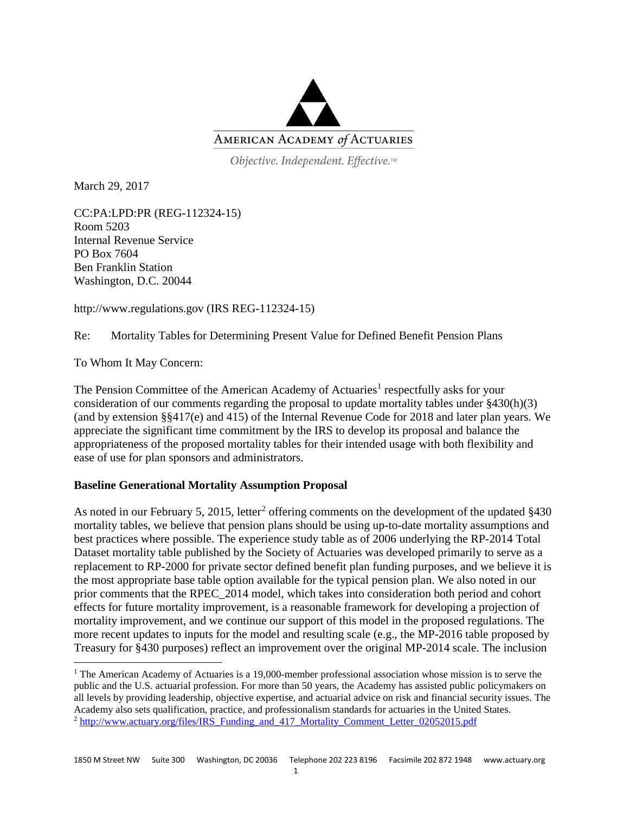

Objective. Independent. Effective.™

March 29, 2017

CC:PA:LPD:PR (REG-112324-15) Room 5203 Internal Revenue Service PO Box 7604 Ben Franklin Station Washington, D.C. 20044

http://www.regulations.gov (IRS REG-112324-15)

Re: Mortality Tables for Determining Present Value for Defined Benefit Pension Plans

To Whom It May Concern:

The Pension Committee of the American Academy of Actuaries<sup>[1](#page-0-0)</sup> respectfully asks for your consideration of our comments regarding the proposal to update mortality tables under §430(h)(3) (and by extension §§417(e) and 415) of the Internal Revenue Code for 2018 and later plan years. We appreciate the significant time commitment by the IRS to develop its proposal and balance the appropriateness of the proposed mortality tables for their intended usage with both flexibility and ease of use for plan sponsors and administrators.

# **Baseline Generational Mortality Assumption Proposal**

As noted in our February 5, [2](#page-0-1)015, letter<sup>2</sup> offering comments on the development of the updated  $§430$ mortality tables, we believe that pension plans should be using up-to-date mortality assumptions and best practices where possible. The experience study table as of 2006 underlying the RP-2014 Total Dataset mortality table published by the Society of Actuaries was developed primarily to serve as a replacement to RP-2000 for private sector defined benefit plan funding purposes, and we believe it is the most appropriate base table option available for the typical pension plan. We also noted in our prior comments that the RPEC\_2014 model, which takes into consideration both period and cohort effects for future mortality improvement, is a reasonable framework for developing a projection of mortality improvement, and we continue our support of this model in the proposed regulations. The more recent updates to inputs for the model and resulting scale (e.g., the MP-2016 table proposed by Treasury for §430 purposes) reflect an improvement over the original MP-2014 scale. The inclusion

<span id="page-0-1"></span><span id="page-0-0"></span><sup>&</sup>lt;sup>1</sup> The American Academy of Actuaries is a 19,000-member professional association whose mission is to serve the public and the U.S. actuarial profession. For more than 50 years, the Academy has assisted public policymakers on all levels by providing leadership, objective expertise, and actuarial advice on risk and financial security issues. The Academy also sets qualification, practice, and professionalism standards for actuaries in the United States. <sup>2</sup> [http://www.actuary.org/files/IRS\\_Funding\\_and\\_417\\_Mortality\\_Comment\\_Letter\\_02052015.pdf](http://www.actuary.org/files/IRS_Funding_and_417_Mortality_Comment_Letter_02052015.pdf)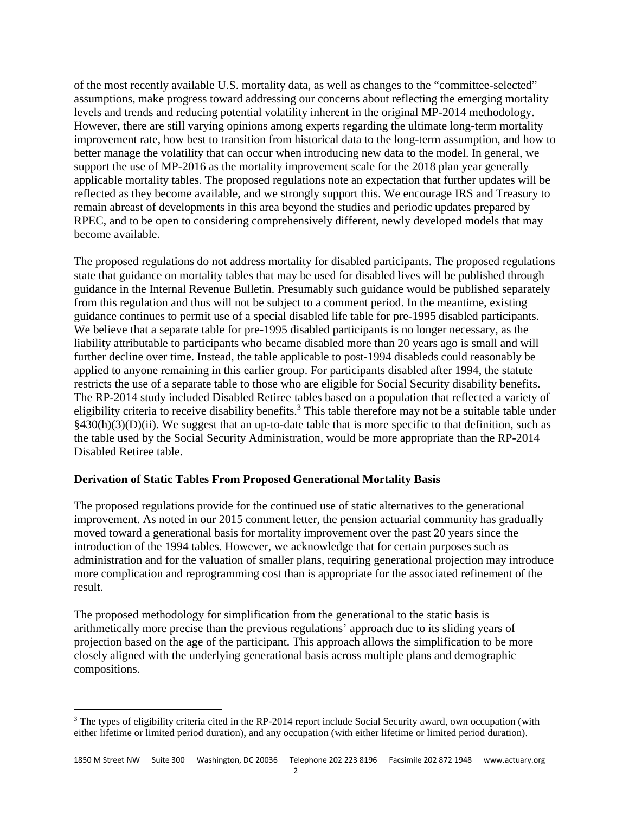of the most recently available U.S. mortality data, as well as changes to the "committee-selected" assumptions, make progress toward addressing our concerns about reflecting the emerging mortality levels and trends and reducing potential volatility inherent in the original MP-2014 methodology. However, there are still varying opinions among experts regarding the ultimate long-term mortality improvement rate, how best to transition from historical data to the long-term assumption, and how to better manage the volatility that can occur when introducing new data to the model. In general, we support the use of MP-2016 as the mortality improvement scale for the 2018 plan year generally applicable mortality tables. The proposed regulations note an expectation that further updates will be reflected as they become available, and we strongly support this. We encourage IRS and Treasury to remain abreast of developments in this area beyond the studies and periodic updates prepared by RPEC, and to be open to considering comprehensively different, newly developed models that may become available.

The proposed regulations do not address mortality for disabled participants. The proposed regulations state that guidance on mortality tables that may be used for disabled lives will be published through guidance in the Internal Revenue Bulletin. Presumably such guidance would be published separately from this regulation and thus will not be subject to a comment period. In the meantime, existing guidance continues to permit use of a special disabled life table for pre-1995 disabled participants. We believe that a separate table for pre-1995 disabled participants is no longer necessary, as the liability attributable to participants who became disabled more than 20 years ago is small and will further decline over time. Instead, the table applicable to post-1994 disableds could reasonably be applied to anyone remaining in this earlier group. For participants disabled after 1994, the statute restricts the use of a separate table to those who are eligible for Social Security disability benefits. The RP-2014 study included Disabled Retiree tables based on a population that reflected a variety of eligibility criteria to receive disability benefits.<sup>3</sup> This table therefore may not be a suitable table under  $§430(h)(3)(D)(ii)$ . We suggest that an up-to-da[te](#page-1-0) table that is more specific to that definition, such as the table used by the Social Security Administration, would be more appropriate than the RP-2014 Disabled Retiree table.

## **Derivation of Static Tables From Proposed Generational Mortality Basis**

The proposed regulations provide for the continued use of static alternatives to the generational improvement. As noted in our 2015 comment letter, the pension actuarial community has gradually moved toward a generational basis for mortality improvement over the past 20 years since the introduction of the 1994 tables. However, we acknowledge that for certain purposes such as administration and for the valuation of smaller plans, requiring generational projection may introduce more complication and reprogramming cost than is appropriate for the associated refinement of the result.

The proposed methodology for simplification from the generational to the static basis is arithmetically more precise than the previous regulations' approach due to its sliding years of projection based on the age of the participant. This approach allows the simplification to be more closely aligned with the underlying generational basis across multiple plans and demographic compositions.

<span id="page-1-0"></span><sup>&</sup>lt;sup>3</sup> The types of eligibility criteria cited in the RP-2014 report include Social Security award, own occupation (with either lifetime or limited period duration), and any occupation (with either lifetime or limited period duration).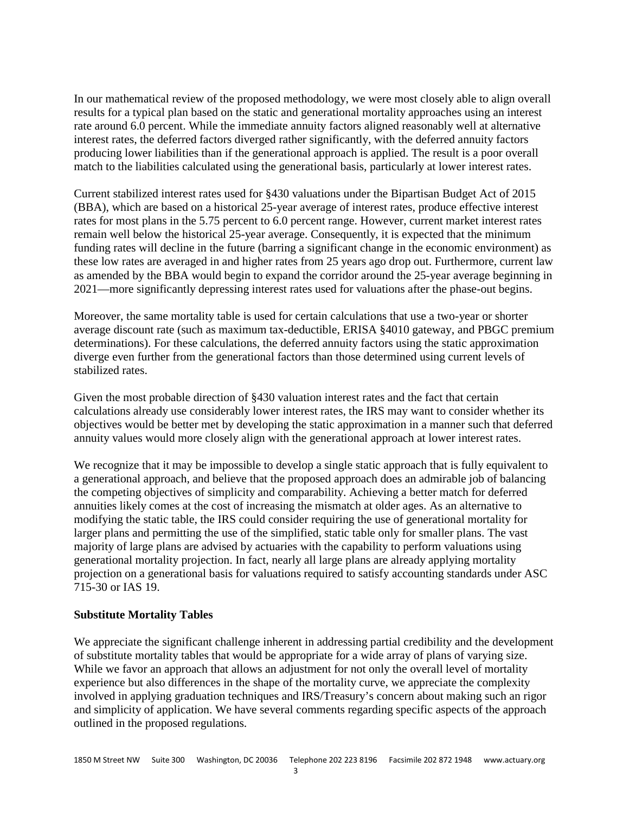In our mathematical review of the proposed methodology, we were most closely able to align overall results for a typical plan based on the static and generational mortality approaches using an interest rate around 6.0 percent. While the immediate annuity factors aligned reasonably well at alternative interest rates, the deferred factors diverged rather significantly, with the deferred annuity factors producing lower liabilities than if the generational approach is applied. The result is a poor overall match to the liabilities calculated using the generational basis, particularly at lower interest rates.

Current stabilized interest rates used for §430 valuations under the Bipartisan Budget Act of 2015 (BBA), which are based on a historical 25-year average of interest rates, produce effective interest rates for most plans in the 5.75 percent to 6.0 percent range. However, current market interest rates remain well below the historical 25-year average. Consequently, it is expected that the minimum funding rates will decline in the future (barring a significant change in the economic environment) as these low rates are averaged in and higher rates from 25 years ago drop out. Furthermore, current law as amended by the BBA would begin to expand the corridor around the 25-year average beginning in 2021—more significantly depressing interest rates used for valuations after the phase-out begins.

Moreover, the same mortality table is used for certain calculations that use a two-year or shorter average discount rate (such as maximum tax-deductible, ERISA §4010 gateway, and PBGC premium determinations). For these calculations, the deferred annuity factors using the static approximation diverge even further from the generational factors than those determined using current levels of stabilized rates.

Given the most probable direction of §430 valuation interest rates and the fact that certain calculations already use considerably lower interest rates, the IRS may want to consider whether its objectives would be better met by developing the static approximation in a manner such that deferred annuity values would more closely align with the generational approach at lower interest rates.

We recognize that it may be impossible to develop a single static approach that is fully equivalent to a generational approach, and believe that the proposed approach does an admirable job of balancing the competing objectives of simplicity and comparability. Achieving a better match for deferred annuities likely comes at the cost of increasing the mismatch at older ages. As an alternative to modifying the static table, the IRS could consider requiring the use of generational mortality for larger plans and permitting the use of the simplified, static table only for smaller plans. The vast majority of large plans are advised by actuaries with the capability to perform valuations using generational mortality projection. In fact, nearly all large plans are already applying mortality projection on a generational basis for valuations required to satisfy accounting standards under ASC 715-30 or IAS 19.

## **Substitute Mortality Tables**

We appreciate the significant challenge inherent in addressing partial credibility and the development of substitute mortality tables that would be appropriate for a wide array of plans of varying size. While we favor an approach that allows an adjustment for not only the overall level of mortality experience but also differences in the shape of the mortality curve, we appreciate the complexity involved in applying graduation techniques and IRS/Treasury's concern about making such an rigor and simplicity of application. We have several comments regarding specific aspects of the approach outlined in the proposed regulations.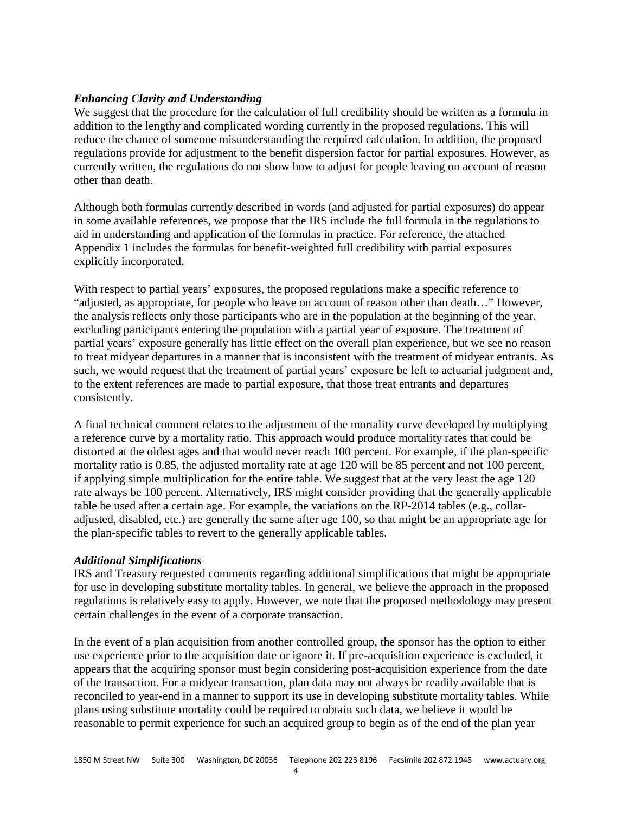## *Enhancing Clarity and Understanding*

We suggest that the procedure for the calculation of full credibility should be written as a formula in addition to the lengthy and complicated wording currently in the proposed regulations. This will reduce the chance of someone misunderstanding the required calculation. In addition, the proposed regulations provide for adjustment to the benefit dispersion factor for partial exposures. However, as currently written, the regulations do not show how to adjust for people leaving on account of reason other than death.

Although both formulas currently described in words (and adjusted for partial exposures) do appear in some available references, we propose that the IRS include the full formula in the regulations to aid in understanding and application of the formulas in practice. For reference, the attached Appendix 1 includes the formulas for benefit-weighted full credibility with partial exposures explicitly incorporated.

With respect to partial years' exposures, the proposed regulations make a specific reference to "adjusted, as appropriate, for people who leave on account of reason other than death…" However, the analysis reflects only those participants who are in the population at the beginning of the year, excluding participants entering the population with a partial year of exposure. The treatment of partial years' exposure generally has little effect on the overall plan experience, but we see no reason to treat midyear departures in a manner that is inconsistent with the treatment of midyear entrants. As such, we would request that the treatment of partial years' exposure be left to actuarial judgment and, to the extent references are made to partial exposure, that those treat entrants and departures consistently.

A final technical comment relates to the adjustment of the mortality curve developed by multiplying a reference curve by a mortality ratio. This approach would produce mortality rates that could be distorted at the oldest ages and that would never reach 100 percent. For example, if the plan-specific mortality ratio is 0.85, the adjusted mortality rate at age 120 will be 85 percent and not 100 percent, if applying simple multiplication for the entire table. We suggest that at the very least the age 120 rate always be 100 percent. Alternatively, IRS might consider providing that the generally applicable table be used after a certain age. For example, the variations on the RP-2014 tables (e.g., collaradjusted, disabled, etc.) are generally the same after age 100, so that might be an appropriate age for the plan-specific tables to revert to the generally applicable tables.

## *Additional Simplifications*

IRS and Treasury requested comments regarding additional simplifications that might be appropriate for use in developing substitute mortality tables. In general, we believe the approach in the proposed regulations is relatively easy to apply. However, we note that the proposed methodology may present certain challenges in the event of a corporate transaction.

In the event of a plan acquisition from another controlled group, the sponsor has the option to either use experience prior to the acquisition date or ignore it. If pre-acquisition experience is excluded, it appears that the acquiring sponsor must begin considering post-acquisition experience from the date of the transaction. For a midyear transaction, plan data may not always be readily available that is reconciled to year-end in a manner to support its use in developing substitute mortality tables. While plans using substitute mortality could be required to obtain such data, we believe it would be reasonable to permit experience for such an acquired group to begin as of the end of the plan year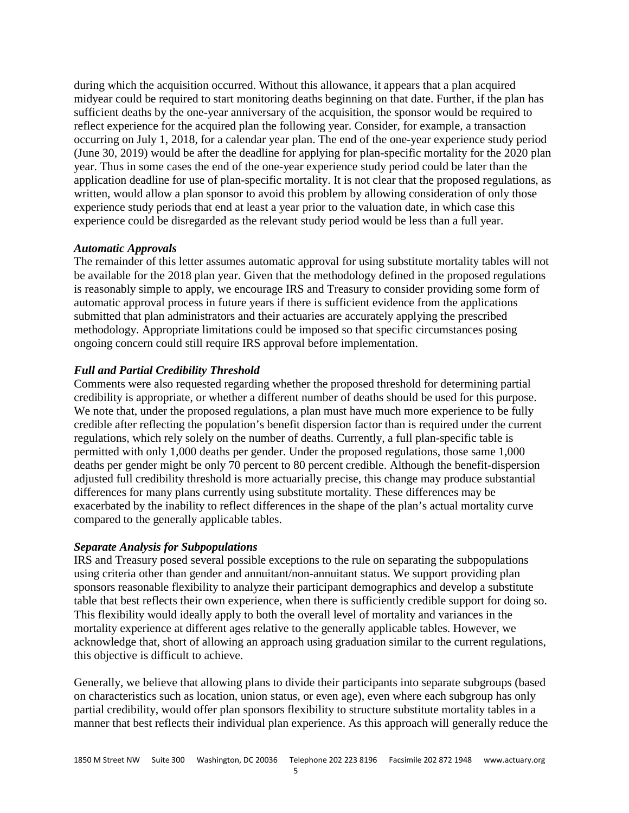during which the acquisition occurred. Without this allowance, it appears that a plan acquired midyear could be required to start monitoring deaths beginning on that date. Further, if the plan has sufficient deaths by the one-year anniversary of the acquisition, the sponsor would be required to reflect experience for the acquired plan the following year. Consider, for example, a transaction occurring on July 1, 2018, for a calendar year plan. The end of the one-year experience study period (June 30, 2019) would be after the deadline for applying for plan-specific mortality for the 2020 plan year. Thus in some cases the end of the one-year experience study period could be later than the application deadline for use of plan-specific mortality. It is not clear that the proposed regulations, as written, would allow a plan sponsor to avoid this problem by allowing consideration of only those experience study periods that end at least a year prior to the valuation date, in which case this experience could be disregarded as the relevant study period would be less than a full year.

#### *Automatic Approvals*

The remainder of this letter assumes automatic approval for using substitute mortality tables will not be available for the 2018 plan year. Given that the methodology defined in the proposed regulations is reasonably simple to apply, we encourage IRS and Treasury to consider providing some form of automatic approval process in future years if there is sufficient evidence from the applications submitted that plan administrators and their actuaries are accurately applying the prescribed methodology. Appropriate limitations could be imposed so that specific circumstances posing ongoing concern could still require IRS approval before implementation.

## *Full and Partial Credibility Threshold*

Comments were also requested regarding whether the proposed threshold for determining partial credibility is appropriate, or whether a different number of deaths should be used for this purpose. We note that, under the proposed regulations, a plan must have much more experience to be fully credible after reflecting the population's benefit dispersion factor than is required under the current regulations, which rely solely on the number of deaths. Currently, a full plan-specific table is permitted with only 1,000 deaths per gender. Under the proposed regulations, those same 1,000 deaths per gender might be only 70 percent to 80 percent credible. Although the benefit-dispersion adjusted full credibility threshold is more actuarially precise, this change may produce substantial differences for many plans currently using substitute mortality. These differences may be exacerbated by the inability to reflect differences in the shape of the plan's actual mortality curve compared to the generally applicable tables.

#### *Separate Analysis for Subpopulations*

IRS and Treasury posed several possible exceptions to the rule on separating the subpopulations using criteria other than gender and annuitant/non-annuitant status. We support providing plan sponsors reasonable flexibility to analyze their participant demographics and develop a substitute table that best reflects their own experience, when there is sufficiently credible support for doing so. This flexibility would ideally apply to both the overall level of mortality and variances in the mortality experience at different ages relative to the generally applicable tables. However, we acknowledge that, short of allowing an approach using graduation similar to the current regulations, this objective is difficult to achieve.

Generally, we believe that allowing plans to divide their participants into separate subgroups (based on characteristics such as location, union status, or even age), even where each subgroup has only partial credibility, would offer plan sponsors flexibility to structure substitute mortality tables in a manner that best reflects their individual plan experience. As this approach will generally reduce the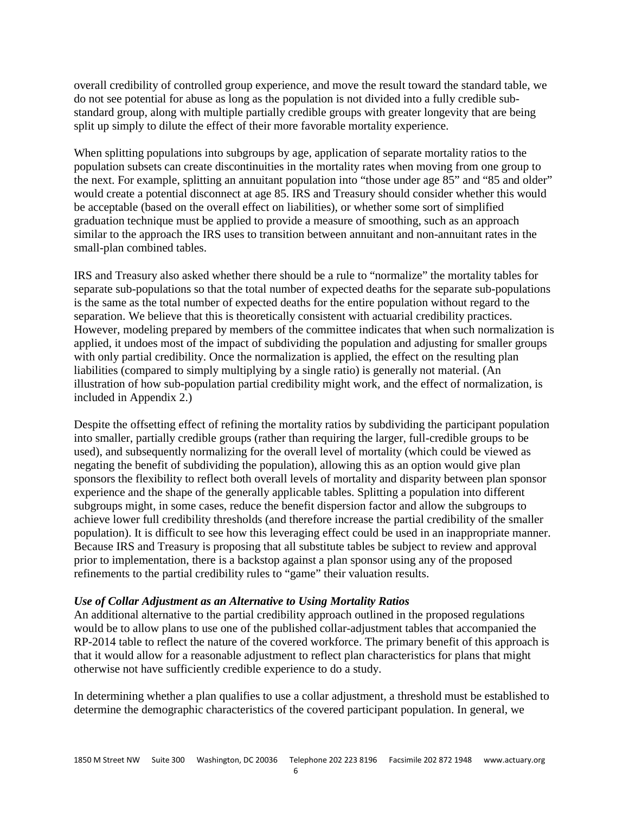overall credibility of controlled group experience, and move the result toward the standard table, we do not see potential for abuse as long as the population is not divided into a fully credible substandard group, along with multiple partially credible groups with greater longevity that are being split up simply to dilute the effect of their more favorable mortality experience.

When splitting populations into subgroups by age, application of separate mortality ratios to the population subsets can create discontinuities in the mortality rates when moving from one group to the next. For example, splitting an annuitant population into "those under age 85" and "85 and older" would create a potential disconnect at age 85. IRS and Treasury should consider whether this would be acceptable (based on the overall effect on liabilities), or whether some sort of simplified graduation technique must be applied to provide a measure of smoothing, such as an approach similar to the approach the IRS uses to transition between annuitant and non-annuitant rates in the small-plan combined tables.

IRS and Treasury also asked whether there should be a rule to "normalize" the mortality tables for separate sub-populations so that the total number of expected deaths for the separate sub-populations is the same as the total number of expected deaths for the entire population without regard to the separation. We believe that this is theoretically consistent with actuarial credibility practices. However, modeling prepared by members of the committee indicates that when such normalization is applied, it undoes most of the impact of subdividing the population and adjusting for smaller groups with only partial credibility. Once the normalization is applied, the effect on the resulting plan liabilities (compared to simply multiplying by a single ratio) is generally not material. (An illustration of how sub-population partial credibility might work, and the effect of normalization, is included in Appendix 2.)

Despite the offsetting effect of refining the mortality ratios by subdividing the participant population into smaller, partially credible groups (rather than requiring the larger, full-credible groups to be used), and subsequently normalizing for the overall level of mortality (which could be viewed as negating the benefit of subdividing the population), allowing this as an option would give plan sponsors the flexibility to reflect both overall levels of mortality and disparity between plan sponsor experience and the shape of the generally applicable tables. Splitting a population into different subgroups might, in some cases, reduce the benefit dispersion factor and allow the subgroups to achieve lower full credibility thresholds (and therefore increase the partial credibility of the smaller population). It is difficult to see how this leveraging effect could be used in an inappropriate manner. Because IRS and Treasury is proposing that all substitute tables be subject to review and approval prior to implementation, there is a backstop against a plan sponsor using any of the proposed refinements to the partial credibility rules to "game" their valuation results.

#### *Use of Collar Adjustment as an Alternative to Using Mortality Ratios*

An additional alternative to the partial credibility approach outlined in the proposed regulations would be to allow plans to use one of the published collar-adjustment tables that accompanied the RP-2014 table to reflect the nature of the covered workforce. The primary benefit of this approach is that it would allow for a reasonable adjustment to reflect plan characteristics for plans that might otherwise not have sufficiently credible experience to do a study.

In determining whether a plan qualifies to use a collar adjustment, a threshold must be established to determine the demographic characteristics of the covered participant population. In general, we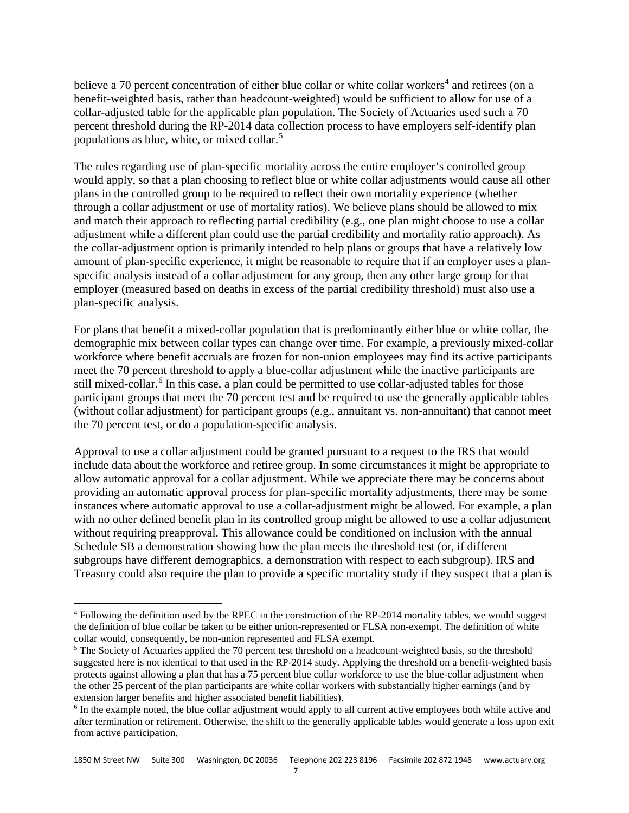believe a 70 percent concentration of either blue collar or white collar workers<sup>[4](#page-6-0)</sup> and retirees (on a benefit-weighted basis, rather than headcount-weighted) would be sufficient to allow for use of a collar-adjusted table for the applicable plan population. The Society of Actuaries used such a 70 percent threshold during the RP-2014 data collection process to have employers self-identify plan populations as blue, white, or mixed collar.[5](#page-6-1)

The rules regarding use of plan-specific mortality across the entire employer's controlled group would apply, so that a plan choosing to reflect blue or white collar adjustments would cause all other plans in the controlled group to be required to reflect their own mortality experience (whether through a collar adjustment or use of mortality ratios). We believe plans should be allowed to mix and match their approach to reflecting partial credibility (e.g., one plan might choose to use a collar adjustment while a different plan could use the partial credibility and mortality ratio approach). As the collar-adjustment option is primarily intended to help plans or groups that have a relatively low amount of plan-specific experience, it might be reasonable to require that if an employer uses a planspecific analysis instead of a collar adjustment for any group, then any other large group for that employer (measured based on deaths in excess of the partial credibility threshold) must also use a plan-specific analysis.

For plans that benefit a mixed-collar population that is predominantly either blue or white collar, the demographic mix between collar types can change over time. For example, a previously mixed-collar workforce where benefit accruals are frozen for non-union employees may find its active participants meet the 70 percent threshold to apply a blue-collar adjustment while the inactive participants are still mixed-collar.<sup>[6](#page-6-2)</sup> In this case, a plan could be permitted to use collar-adjusted tables for those participant groups that meet the 70 percent test and be required to use the generally applicable tables (without collar adjustment) for participant groups (e.g., annuitant vs. non-annuitant) that cannot meet the 70 percent test, or do a population-specific analysis.

Approval to use a collar adjustment could be granted pursuant to a request to the IRS that would include data about the workforce and retiree group. In some circumstances it might be appropriate to allow automatic approval for a collar adjustment. While we appreciate there may be concerns about providing an automatic approval process for plan-specific mortality adjustments, there may be some instances where automatic approval to use a collar-adjustment might be allowed. For example, a plan with no other defined benefit plan in its controlled group might be allowed to use a collar adjustment without requiring preapproval. This allowance could be conditioned on inclusion with the annual Schedule SB a demonstration showing how the plan meets the threshold test (or, if different subgroups have different demographics, a demonstration with respect to each subgroup). IRS and Treasury could also require the plan to provide a specific mortality study if they suspect that a plan is

l

<span id="page-6-0"></span><sup>&</sup>lt;sup>4</sup> Following the definition used by the RPEC in the construction of the RP-2014 mortality tables, we would suggest the definition of blue collar be taken to be either union-represented or FLSA non-exempt. The definition of white collar would, consequently, be non-union represented and FLSA exempt.

<span id="page-6-1"></span> $<sup>5</sup>$  The Society of Actuaries applied the 70 percent test threshold on a headcount-weighted basis, so the threshold</sup> suggested here is not identical to that used in the RP-2014 study. Applying the threshold on a benefit-weighted basis protects against allowing a plan that has a 75 percent blue collar workforce to use the blue-collar adjustment when the other 25 percent of the plan participants are white collar workers with substantially higher earnings (and by extension larger benefits and higher associated benefit liabilities).

<span id="page-6-2"></span><sup>6</sup> In the example noted, the blue collar adjustment would apply to all current active employees both while active and after termination or retirement. Otherwise, the shift to the generally applicable tables would generate a loss upon exit from active participation.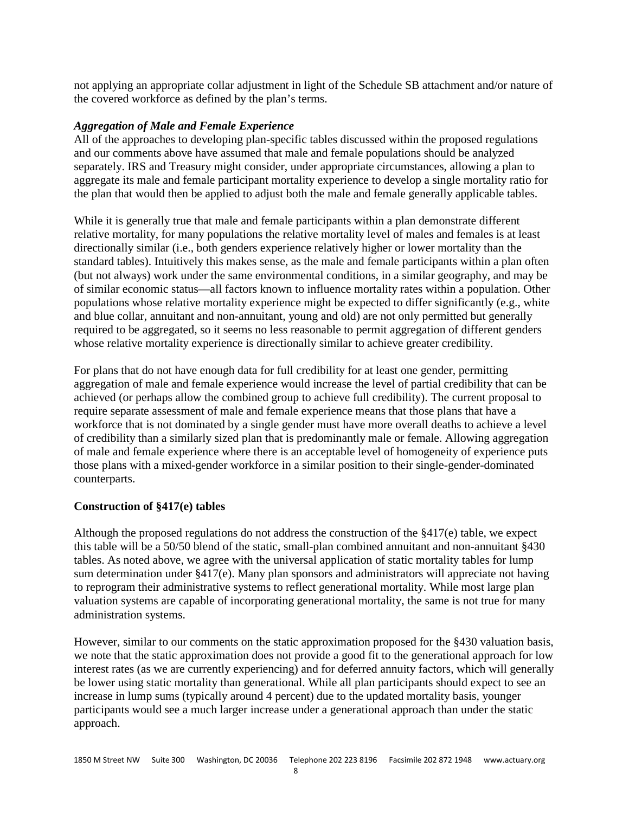not applying an appropriate collar adjustment in light of the Schedule SB attachment and/or nature of the covered workforce as defined by the plan's terms.

## *Aggregation of Male and Female Experience*

All of the approaches to developing plan-specific tables discussed within the proposed regulations and our comments above have assumed that male and female populations should be analyzed separately. IRS and Treasury might consider, under appropriate circumstances, allowing a plan to aggregate its male and female participant mortality experience to develop a single mortality ratio for the plan that would then be applied to adjust both the male and female generally applicable tables.

While it is generally true that male and female participants within a plan demonstrate different relative mortality, for many populations the relative mortality level of males and females is at least directionally similar (i.e., both genders experience relatively higher or lower mortality than the standard tables). Intuitively this makes sense, as the male and female participants within a plan often (but not always) work under the same environmental conditions, in a similar geography, and may be of similar economic status—all factors known to influence mortality rates within a population. Other populations whose relative mortality experience might be expected to differ significantly (e.g., white and blue collar, annuitant and non-annuitant, young and old) are not only permitted but generally required to be aggregated, so it seems no less reasonable to permit aggregation of different genders whose relative mortality experience is directionally similar to achieve greater credibility.

For plans that do not have enough data for full credibility for at least one gender, permitting aggregation of male and female experience would increase the level of partial credibility that can be achieved (or perhaps allow the combined group to achieve full credibility). The current proposal to require separate assessment of male and female experience means that those plans that have a workforce that is not dominated by a single gender must have more overall deaths to achieve a level of credibility than a similarly sized plan that is predominantly male or female. Allowing aggregation of male and female experience where there is an acceptable level of homogeneity of experience puts those plans with a mixed-gender workforce in a similar position to their single-gender-dominated counterparts.

# **Construction of §417(e) tables**

Although the proposed regulations do not address the construction of the §417(e) table, we expect this table will be a 50/50 blend of the static, small-plan combined annuitant and non-annuitant §430 tables. As noted above, we agree with the universal application of static mortality tables for lump sum determination under §417(e). Many plan sponsors and administrators will appreciate not having to reprogram their administrative systems to reflect generational mortality. While most large plan valuation systems are capable of incorporating generational mortality, the same is not true for many administration systems.

However, similar to our comments on the static approximation proposed for the §430 valuation basis, we note that the static approximation does not provide a good fit to the generational approach for low interest rates (as we are currently experiencing) and for deferred annuity factors, which will generally be lower using static mortality than generational. While all plan participants should expect to see an increase in lump sums (typically around 4 percent) due to the updated mortality basis, younger participants would see a much larger increase under a generational approach than under the static approach.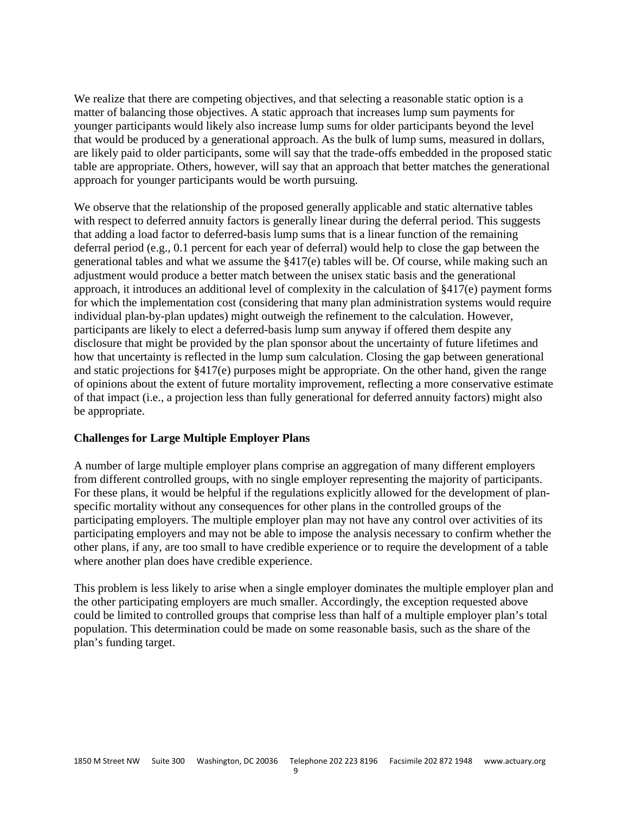We realize that there are competing objectives, and that selecting a reasonable static option is a matter of balancing those objectives. A static approach that increases lump sum payments for younger participants would likely also increase lump sums for older participants beyond the level that would be produced by a generational approach. As the bulk of lump sums, measured in dollars, are likely paid to older participants, some will say that the trade-offs embedded in the proposed static table are appropriate. Others, however, will say that an approach that better matches the generational approach for younger participants would be worth pursuing.

We observe that the relationship of the proposed generally applicable and static alternative tables with respect to deferred annuity factors is generally linear during the deferral period. This suggests that adding a load factor to deferred-basis lump sums that is a linear function of the remaining deferral period (e.g., 0.1 percent for each year of deferral) would help to close the gap between the generational tables and what we assume the  $\S417(e)$  tables will be. Of course, while making such an adjustment would produce a better match between the unisex static basis and the generational approach, it introduces an additional level of complexity in the calculation of §417(e) payment forms for which the implementation cost (considering that many plan administration systems would require individual plan-by-plan updates) might outweigh the refinement to the calculation. However, participants are likely to elect a deferred-basis lump sum anyway if offered them despite any disclosure that might be provided by the plan sponsor about the uncertainty of future lifetimes and how that uncertainty is reflected in the lump sum calculation. Closing the gap between generational and static projections for §417(e) purposes might be appropriate. On the other hand, given the range of opinions about the extent of future mortality improvement, reflecting a more conservative estimate of that impact (i.e., a projection less than fully generational for deferred annuity factors) might also be appropriate.

## **Challenges for Large Multiple Employer Plans**

A number of large multiple employer plans comprise an aggregation of many different employers from different controlled groups, with no single employer representing the majority of participants. For these plans, it would be helpful if the regulations explicitly allowed for the development of planspecific mortality without any consequences for other plans in the controlled groups of the participating employers. The multiple employer plan may not have any control over activities of its participating employers and may not be able to impose the analysis necessary to confirm whether the other plans, if any, are too small to have credible experience or to require the development of a table where another plan does have credible experience.

This problem is less likely to arise when a single employer dominates the multiple employer plan and the other participating employers are much smaller. Accordingly, the exception requested above could be limited to controlled groups that comprise less than half of a multiple employer plan's total population. This determination could be made on some reasonable basis, such as the share of the plan's funding target.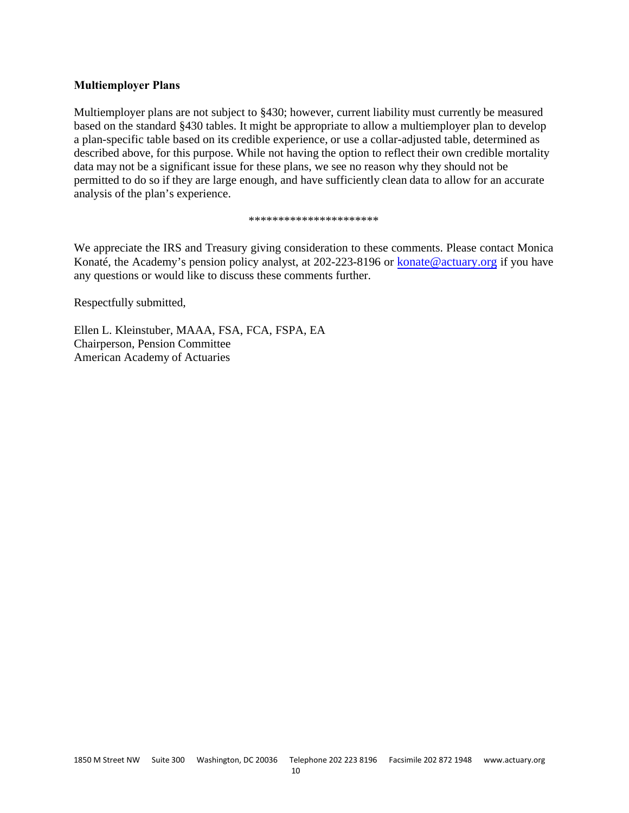## **Multiemployer Plans**

Multiemployer plans are not subject to §430; however, current liability must currently be measured based on the standard §430 tables. It might be appropriate to allow a multiemployer plan to develop a plan-specific table based on its credible experience, or use a collar-adjusted table, determined as described above, for this purpose. While not having the option to reflect their own credible mortality data may not be a significant issue for these plans, we see no reason why they should not be permitted to do so if they are large enough, and have sufficiently clean data to allow for an accurate analysis of the plan's experience.

#### \*\*\*\*\*\*\*\*\*\*\*\*\*\*\*\*\*\*\*\*\*\*

We appreciate the IRS and Treasury giving consideration to these comments. Please contact Monica Konaté, the Academy's pension policy analyst, at 202-223-8196 or konate@actuary.org if you have any questions or would like to discuss these comments further.

Respectfully submitted,

Ellen L. Kleinstuber, MAAA, FSA, FCA, FSPA, EA Chairperson, Pension Committee American Academy of Actuaries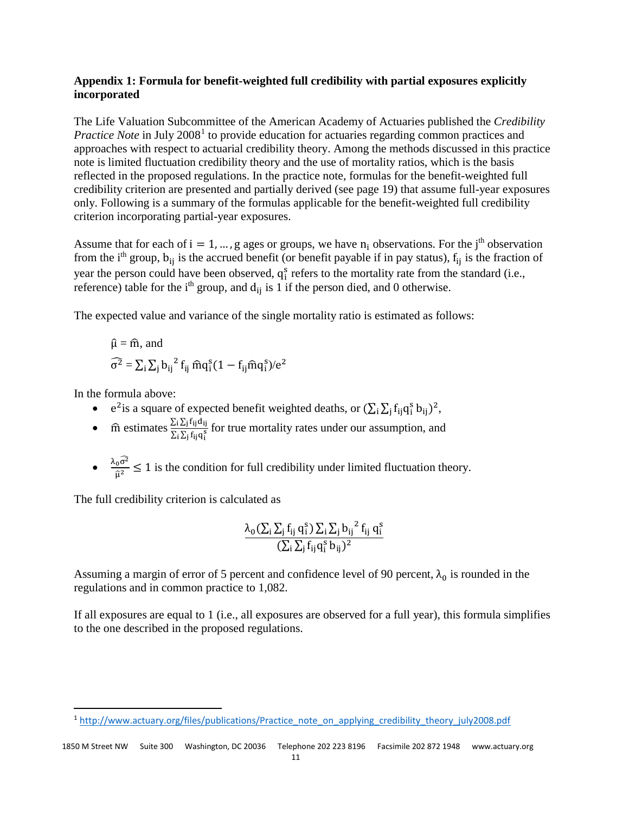## **Appendix 1: Formula for benefit-weighted full credibility with partial exposures explicitly incorporated**

The Life Valuation Subcommittee of the American Academy of Actuaries published the *Credibility Practice Note* in July 2008<sup>[1](#page-10-0)</sup> to provide education for actuaries regarding common practices and approaches with respect to actuarial credibility theory. Among the methods discussed in this practice note is limited fluctuation credibility theory and the use of mortality ratios, which is the basis reflected in the proposed regulations. In the practice note, formulas for the benefit-weighted full credibility criterion are presented and partially derived (see page 19) that assume full-year exposures only. Following is a summary of the formulas applicable for the benefit-weighted full credibility criterion incorporating partial-year exposures.

Assume that for each of  $i = 1, ..., g$  ages or groups, we have  $n_i$  observations. For the j<sup>th</sup> observation from the i<sup>th</sup> group, b<sub>ij</sub> is the accrued benefit (or benefit payable if in pay status),  $f_{ij}$  is the fraction of year the person could have been observed,  $q_i^s$  refers to the mortality rate from the standard (i.e., reference) table for the i<sup>th</sup> group, and  $d_{ii}$  is 1 if the person died, and 0 otherwise.

The expected value and variance of the single mortality ratio is estimated as follows:

$$
\begin{aligned} &\hat{\mu}=\widehat{m}, \, \text{and} \\ &\widehat{\sigma^2}=\sum_i \sum_j {b_{ij}}^2 \, f_{ij} \, \widehat{m} q_i^s (1-f_{ij} \widehat{m} q_i^s )/e^2 \end{aligned}
$$

In the formula above:

•  $e^2$  is a square of expected benefit weighted deaths, or  $(\sum_i \sum_j f_{ij} q_i^s b_{ij})^2$ ,

• 
$$
\hat{m}
$$
 estimates  $\frac{\sum_i \sum_j f_{ij} d_{ij}}{\sum_i \sum_j f_{ij} q_i^s}$  for true mortality rates under our assumption, and

•  $\frac{\lambda_0 \sigma^2}{\hat{\mu}^2} \le 1$  is the condition for full credibility under limited fluctuation theory.

The full credibility criterion is calculated as

$$
\frac{\lambda_0(\sum_i \sum_j f_{ij} q_i^s) \sum_i \sum_j b_{ij}^2 f_{ij} q_i^s}{(\sum_i \sum_j f_{ij} q_i^s b_{ij})^2}
$$

Assuming a margin of error of 5 percent and confidence level of 90 percent,  $\lambda_0$  is rounded in the regulations and in common practice to 1,082.

If all exposures are equal to 1 (i.e., all exposures are observed for a full year), this formula simplifies to the one described in the proposed regulations.

<span id="page-10-0"></span> <sup>1</sup> [http://www.actuary.org/files/publications/Practice\\_note\\_on\\_applying\\_credibility\\_theory\\_july2008.pdf](http://www.actuary.org/files/publications/Practice_note_on_applying_credibility_theory_july2008.pdf)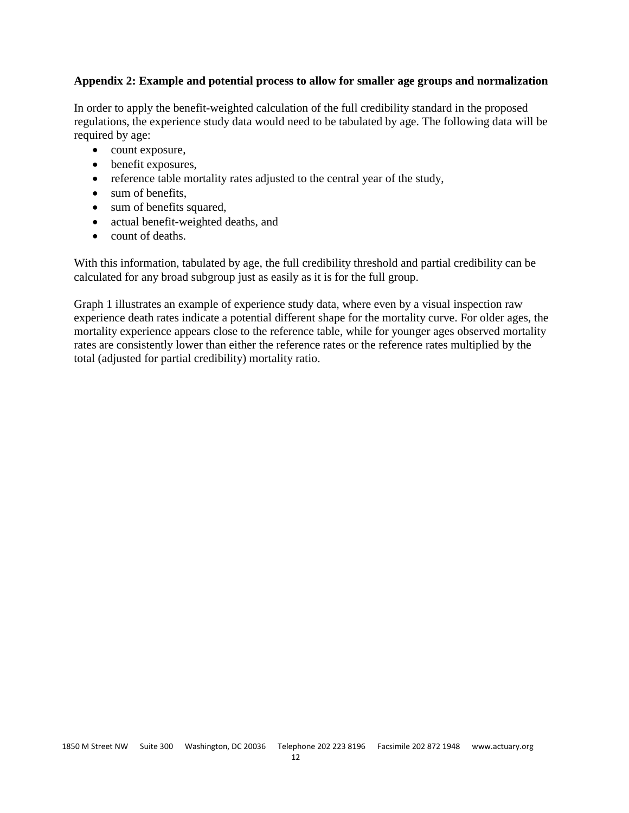## **Appendix 2: Example and potential process to allow for smaller age groups and normalization**

In order to apply the benefit-weighted calculation of the full credibility standard in the proposed regulations, the experience study data would need to be tabulated by age. The following data will be required by age:

- count exposure,
- benefit exposures,
- reference table mortality rates adjusted to the central year of the study,
- sum of benefits,
- sum of benefits squared,
- actual benefit-weighted deaths, and
- count of deaths.

With this information, tabulated by age, the full credibility threshold and partial credibility can be calculated for any broad subgroup just as easily as it is for the full group.

Graph 1 illustrates an example of experience study data, where even by a visual inspection raw experience death rates indicate a potential different shape for the mortality curve. For older ages, the mortality experience appears close to the reference table, while for younger ages observed mortality rates are consistently lower than either the reference rates or the reference rates multiplied by the total (adjusted for partial credibility) mortality ratio.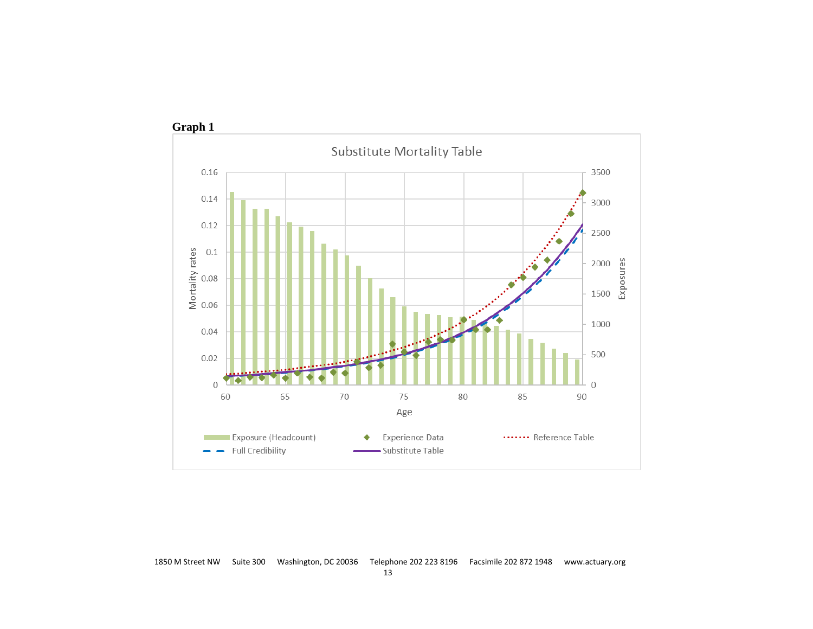

 **Graph 1**

1850 M Street NW Suite 300 Washington, DC 20036 Telephone 202 223 8196 Facsimile 202 872 1948 www.actuary.org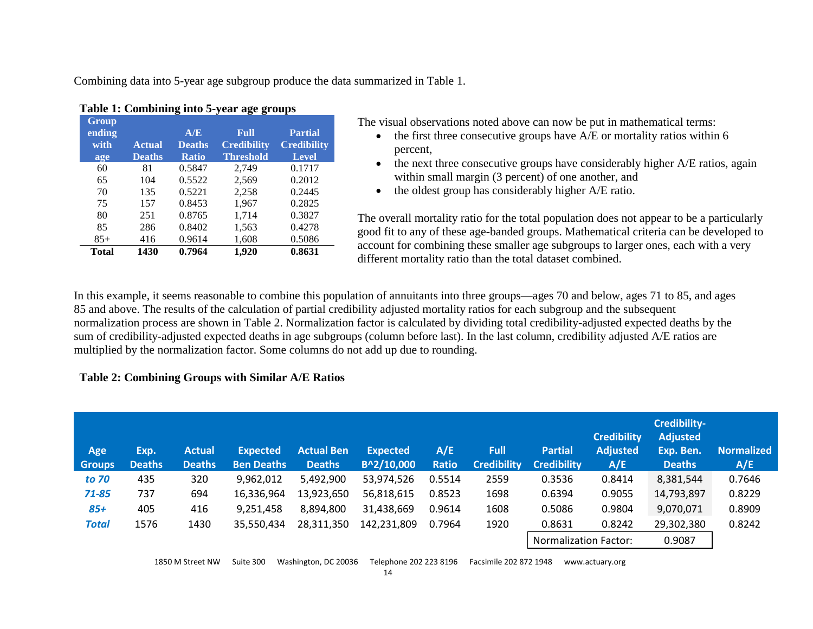Combining data into 5-year age subgroup produce the data summarized in Table 1.

| Group<br>ending<br>with<br>age | <b>Actual</b><br><b>Deaths</b> | A/E<br><b>Deaths</b><br><b>Ratio</b> | <b>Full</b><br><b>Credibility</b><br><b>Threshold</b> | <b>Partial</b><br><b>Credibility</b><br><b>Level</b> |
|--------------------------------|--------------------------------|--------------------------------------|-------------------------------------------------------|------------------------------------------------------|
| 60                             | 81                             | 0.5847                               | 2,749                                                 | 0.1717                                               |
| 65                             | 104                            | 0.5522                               | 2,569                                                 | 0.2012                                               |
| 70                             | 135                            | 0.5221                               | 2.258                                                 | 0.2445                                               |
| 75                             | 157                            | 0.8453                               | 1,967                                                 | 0.2825                                               |
| 80                             | 251                            | 0.8765                               | 1,714                                                 | 0.3827                                               |
| 85                             | 286                            | 0.8402                               | 1,563                                                 | 0.4278                                               |
| $85+$                          | 416                            | 0.9614                               | 1,608                                                 | 0.5086                                               |
| Total                          | 1430                           | 0.7964                               | 1,920                                                 | 0.8631                                               |

## **Table 1: Combining into 5-year age groups**

The visual observations noted above can now be put in mathematical terms:

- the first three consecutive groups have  $A/E$  or mortality ratios within 6 percent,
- the next three consecutive groups have considerably higher A/E ratios, again within small margin (3 percent) of one another, and
- the oldest group has considerably higher A/E ratio.

The overall mortality ratio for the total population does not appear to be a particularly good fit to any of these age-banded groups. Mathematical criteria can be developed to account for combining these smaller age subgroups to larger ones, each with a very different mortality ratio than the total dataset combined.

In this example, it seems reasonable to combine this population of annuitants into three groups—ages 70 and below, ages 71 to 85, and ages 85 and above. The results of the calculation of partial credibility adjusted mortality ratios for each subgroup and the subsequent normalization process are shown in Table 2. Normalization factor is calculated by dividing total credibility-adjusted expected deaths by the sum of credibility-adjusted expected deaths in age subgroups (column before last). In the last column, credibility adjusted A/E ratios are multiplied by the normalization factor. Some columns do not add up due to rounding.

## **Table 2: Combining Groups with Similar A/E Ratios**

| Age<br><b>Groups</b> | Exp.<br><b>Deaths</b> | <b>Actual</b><br><b>Deaths</b> | <b>Expected</b><br><b>Ben Deaths</b> | <b>Actual Ben</b><br><b>Deaths</b> | <b>Expected</b><br>B^2/10,000 | A/E<br><b>Ratio</b> | <b>Full</b><br><b>Credibility</b> | <b>Partial</b><br><b>Credibility</b> | <b>Credibility</b><br><b>Adjusted</b><br>A/E | Credibility-<br><b>Adjusted</b><br>Exp. Ben.<br><b>Deaths</b> | <b>Normalized</b><br>A/E |
|----------------------|-----------------------|--------------------------------|--------------------------------------|------------------------------------|-------------------------------|---------------------|-----------------------------------|--------------------------------------|----------------------------------------------|---------------------------------------------------------------|--------------------------|
| to 70                | 435                   | 320                            | 9,962,012                            | 5,492,900                          | 53,974,526                    | 0.5514              | 2559                              | 0.3536                               | 0.8414                                       | 8,381,544                                                     | 0.7646                   |
| $71 - 85$            | 737                   | 694                            | 16,336,964                           | 13,923,650                         | 56,818,615                    | 0.8523              | 1698                              | 0.6394                               | 0.9055                                       | 14,793,897                                                    | 0.8229                   |
| $85+$                | 405                   | 416                            | 9,251,458                            | 8,894,800                          | 31,438,669                    | 0.9614              | 1608                              | 0.5086                               | 0.9804                                       | 9,070,071                                                     | 0.8909                   |
| Total                | 1576                  | 1430                           | 35,550,434                           | 28,311,350                         | 142,231,809                   | 0.7964              | 1920                              | 0.8631                               | 0.8242                                       | 29,302,380                                                    | 0.8242                   |
|                      |                       |                                |                                      |                                    |                               |                     |                                   | <b>Normalization Factor:</b>         |                                              | 0.9087                                                        |                          |

1850 M Street NW Suite 300 Washington, DC 20036 Telephone 202 223 8196 Facsimile 202 872 1948 www.actuary.org